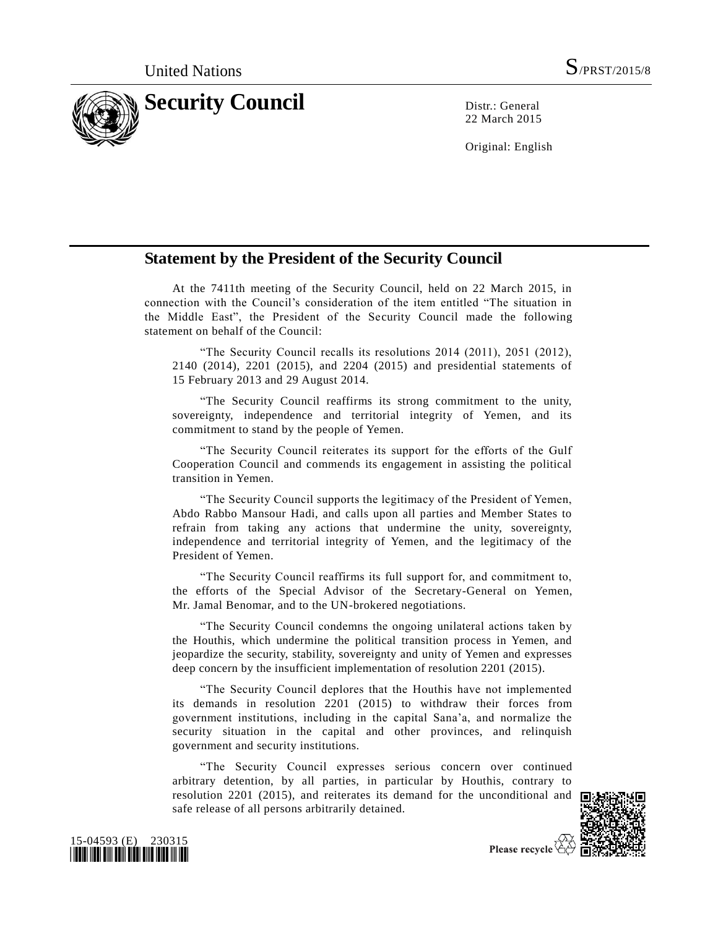

22 March 2015

Original: English

## **Statement by the President of the Security Council**

At the 7411th meeting of the Security Council, held on 22 March 2015, in connection with the Council's consideration of the item entitled "The situation in the Middle East", the President of the Security Council made the following statement on behalf of the Council:

"The Security Council recalls its resolutions 2014 (2011), 2051 (2012), 2140 (2014), 2201 (2015), and 2204 (2015) and presidential statements of 15 February 2013 and 29 August 2014.

"The Security Council reaffirms its strong commitment to the unity, sovereignty, independence and territorial integrity of Yemen, and its commitment to stand by the people of Yemen.

"The Security Council reiterates its support for the efforts of the Gulf Cooperation Council and commends its engagement in assisting the political transition in Yemen.

"The Security Council supports the legitimacy of the President of Yemen, Abdo Rabbo Mansour Hadi, and calls upon all parties and Member States to refrain from taking any actions that undermine the unity, sovereignty, independence and territorial integrity of Yemen, and the legitimacy of the President of Yemen.

"The Security Council reaffirms its full support for, and commitment to, the efforts of the Special Advisor of the Secretary-General on Yemen, Mr. Jamal Benomar, and to the UN-brokered negotiations.

"The Security Council condemns the ongoing unilateral actions taken by the Houthis, which undermine the political transition process in Yemen, and jeopardize the security, stability, sovereignty and unity of Yemen and expresses deep concern by the insufficient implementation of resolution 2201 (2015).

"The Security Council deplores that the Houthis have not implemented its demands in resolution 2201 (2015) to withdraw their forces from government institutions, including in the capital Sana'a, and normalize the security situation in the capital and other provinces, and relinquish government and security institutions.

"The Security Council expresses serious concern over continued arbitrary detention, by all parties, in particular by Houthis, contrary to resolution 2201 (2015), and reiterates its demand for the unconditional and safe release of all persons arbitrarily detained.





Please recycle  $\overleftrightarrow{C}$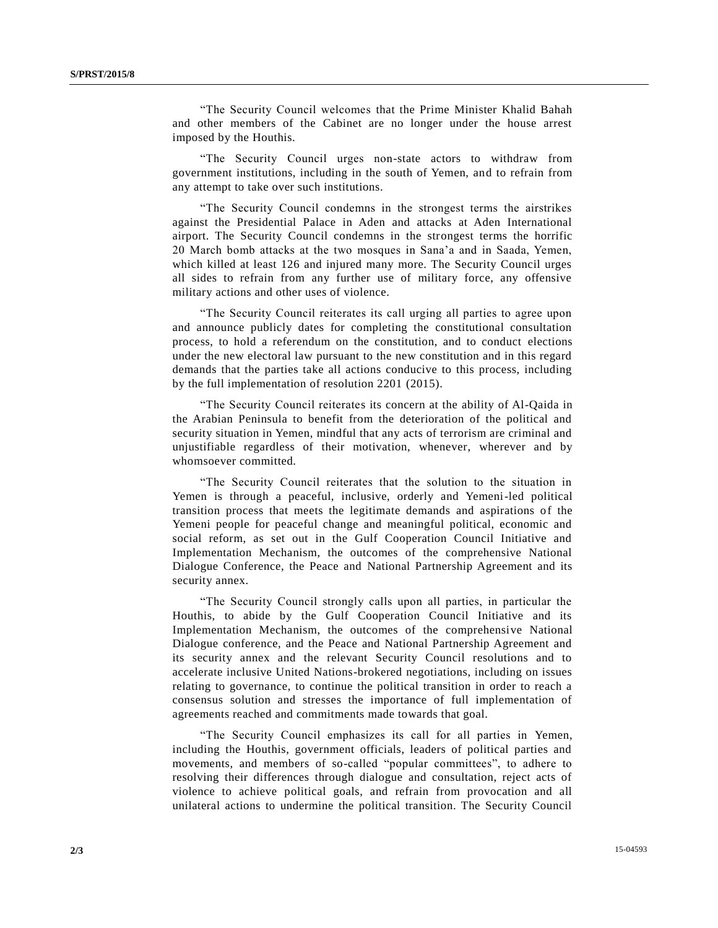"The Security Council welcomes that the Prime Minister Khalid Bahah and other members of the Cabinet are no longer under the house arrest imposed by the Houthis.

"The Security Council urges non-state actors to withdraw from government institutions, including in the south of Yemen, and to refrain from any attempt to take over such institutions.

"The Security Council condemns in the strongest terms the airstrikes against the Presidential Palace in Aden and attacks at Aden International airport. The Security Council condemns in the strongest terms the horrific 20 March bomb attacks at the two mosques in Sana'a and in Saada, Yemen, which killed at least 126 and injured many more. The Security Council urges all sides to refrain from any further use of military force, any offensive military actions and other uses of violence.

"The Security Council reiterates its call urging all parties to agree upon and announce publicly dates for completing the constitutional consultation process, to hold a referendum on the constitution, and to conduct elections under the new electoral law pursuant to the new constitution and in this regard demands that the parties take all actions conducive to this process, including by the full implementation of resolution 2201 (2015).

"The Security Council reiterates its concern at the ability of Al-Qaida in the Arabian Peninsula to benefit from the deterioration of the political and security situation in Yemen, mindful that any acts of terrorism are criminal and unjustifiable regardless of their motivation, whenever, wherever and by whomsoever committed.

"The Security Council reiterates that the solution to the situation in Yemen is through a peaceful, inclusive, orderly and Yemeni-led political transition process that meets the legitimate demands and aspirations of the Yemeni people for peaceful change and meaningful political, economic and social reform, as set out in the Gulf Cooperation Council Initiative and Implementation Mechanism, the outcomes of the comprehensive National Dialogue Conference, the Peace and National Partnership Agreement and its security annex.

"The Security Council strongly calls upon all parties, in particular the Houthis, to abide by the Gulf Cooperation Council Initiative and its Implementation Mechanism, the outcomes of the comprehensive National Dialogue conference, and the Peace and National Partnership Agreement and its security annex and the relevant Security Council resolutions and to accelerate inclusive United Nations-brokered negotiations, including on issues relating to governance, to continue the political transition in order to reach a consensus solution and stresses the importance of full implementation of agreements reached and commitments made towards that goal.

"The Security Council emphasizes its call for all parties in Yemen, including the Houthis, government officials, leaders of political parties and movements, and members of so-called "popular committees", to adhere to resolving their differences through dialogue and consultation, reject acts of violence to achieve political goals, and refrain from provocation and all unilateral actions to undermine the political transition. The Security Council